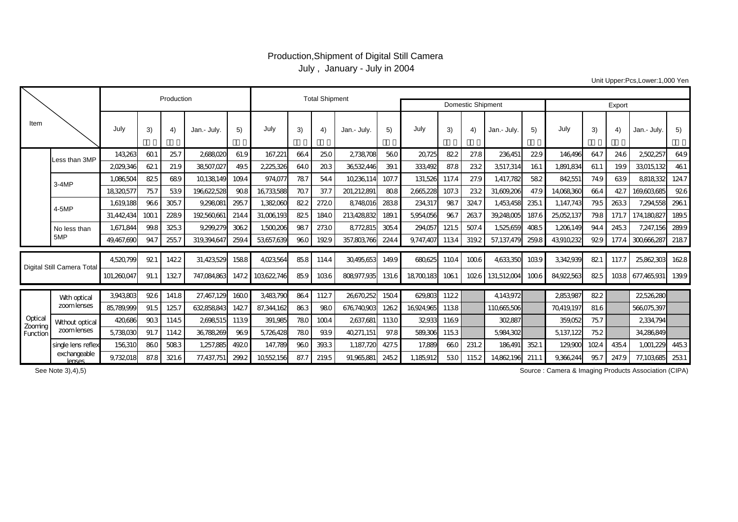## Production,Shipment of Digital Still Camera July , January - July in 2004

Unit Upper:Pcs,Lower:1,000 Yen

|                               |                                |             | Production |       | <b>Total Shipment</b> |       |             |      |       |             |       |            |       |                   |             |        |            |      |       |             |       |
|-------------------------------|--------------------------------|-------------|------------|-------|-----------------------|-------|-------------|------|-------|-------------|-------|------------|-------|-------------------|-------------|--------|------------|------|-------|-------------|-------|
|                               |                                |             |            |       |                       |       |             |      |       |             |       |            |       | Domestic Shipment |             | Export |            |      |       |             |       |
| Item                          |                                | July        | 3)         | 4)    | Jan.- July            | 5)    | July        | 3)   | -4)   | Jan.- July. | 5)    | July       | 3)    | 4)                | Jan.- July. | 5)     | July       | 3)   | 4)    | Jan.- July  | 5)    |
|                               | Less than 3MP                  | 143263      | 601        | 257   | 2688020               | 61.9  | 167,221     | 664  | 25.0  | 2738708     | 560   | 20725      | 822   | 27.8              | 236,451     | 229    | 146496     | 64.7 | 24.6  | 2502,257    | 64.9  |
|                               |                                | 2029.346    | 621        | 21.9  | 38507.027             | 49.5  | 2225326     | 64.0 | 203   | 36532446    | 39.1  | 333.492    | 87.8  | 232               | 3,517,314   | 161    | 1.891.834  | 61.1 | 19.9  | 33015.132   | 461   |
|                               | $3-4MP$                        | 1.086.504   | 825        | 689   | 10138149              | 109.4 | 974.077     | 787  | 54.4  | 10236,11    | 107.7 | 131,526    | 117.4 | 27.9              | 1.417.782   | 582    | 842551     | 74.9 | 639   | 8818332     | 124.7 |
|                               |                                | 18320577    | 757        | 539   | 196622528             | 908   | 16733588    | 707  | 37.7  | 201,212,891 | 808   | 2665,228   | 107.3 | 232               | 31,609,206  | 47.9   | 14,068,360 | 664  | 427   | 169,603,685 | 926   |
|                               | 4-5MP                          | 1.619.188   | 966        | 3057  | 9,298,081             | 2957  | 1,382,060   | 822  | 2720  | 8748016     | 2838  | 234,317    | 987   | 324.7             | 1,453,458   | 235.1  | 1.147.743  | 79.5 | 2633  | 7.294.558   | 2961  |
|                               |                                | 31.442.434  | 1001       | 2289  | 192560661             | 214.4 | 31,006,193  | 825  | 184.0 | 213.428.832 | 189.1 | 5,954,056  | 967   | 2637              | 39,248005   | 187.6  | 25052137   | 79.8 | 171.7 | 174.180827  | 189.5 |
|                               | No less than                   | 1,671,844   | 99.8       | 325.3 | 9,299,279             | 3062  | 1,500,206   | 987  | 2730  | 8772815     | 3054  | 294,057    | 121.5 | 507.4             | 1,525,659   | 4085   | 1,206,149  | 94.4 | 2453  | 7,247,156   | 289.9 |
|                               | 5MP                            | 49.467.690  | 94.7       | 2557  | 319.394.647           | 259.4 | 53657.639   | 960  | 1929  | 357.803.766 | 224.4 | 9.747.407  | 1134  | 319.2             | 57.137.479  | 259.8  | 43910.232  | 929  | 177.4 | 300666287   | 2187  |
| Digital Still Camera Total    |                                | 4,520,799   | 921        | 1422  | 31,423,529            | 1588  | 4,023,564   | 85.8 | 114.4 | 30495,653   | 149.9 | 680625     | 1104  | 1006              | 4,633,350   | 1039   | 3,342,939  | 821  | 117.7 | 25,862,303  | 1628  |
|                               |                                | 101,260,047 | 91.1       | 1327  | 747,084,863           | 147.2 | 103,622,746 | 85.9 | 1036  | 808.977.935 | 131.6 | 18,700,183 | 1061  | 1026              | 131,512004  | 1006   | 84,922,563 | 825  | 1038  | 677,465,931 | 139.9 |
| Optica<br>Zooming<br>Function | With optical<br>zoom lenses    | 3,943,803   | 926        | 141.8 | 27,467,129            | 1600  | 3,483,790   | 864  | 1127  | 26670,252   | 1504  | 629,803    | 1122  |                   | 4,143,972   |        | 2853987    | 822  |       | 22526,280   |       |
|                               |                                | 85,789,999  | 91.5       | 1257  | 632858843             | 1427  | 87,344,162  | 863  | 980   | 676,740,903 | 1262  | 16,924,965 | 1138  |                   | 110665506   |        | 70419,197  | 81.6 |       | 566,075,397 |       |
|                               | Without optical<br>zoom lenses | 420,686     | 903        | 1145  | 2698,515              | 1139  | 391,985     | 780  | 1004  | 2637,681    | 1130  | 32933      | 1169  |                   | 302,887     |        | 359,052    | 757  |       | 2334,794    |       |
|                               |                                | 5,738,030   | 91.7       | 114.2 | 36,788,269            | 969   | 5,726,428   | 780  | 939   | 40271,151   | 97.8  | 589,306    | 1153  |                   | 5,984,302   |        | 5,137,122  | 75.2 |       | 34,286,849  |       |
|                               | single lens reflex             | 156,310     | 860        | 5083  | 1,257,885             | 4920  | 147,789     | 960  | 3933  | 1,187,720   | 427.5 | 17,889     | 660   | 231.2             | 186.491     | 3521   | 129,900    | 1024 | 435.4 | 1,001,229   | 4453  |
|                               | exchangeable<br>lenses         | 9,732,018   | 87.8       | 321.6 | 77,437,751            | 299.2 | 10552156    | 87.7 | 219.5 | 91,965,881  | 245.2 | 1,185,912  | 530   | 1152              | 14,862,196  | 211.1  | 9,366,244  | 95.7 | 247.9 | 77,103,685  | 2531  |

Source : Camera & Imaging Products Association (CIPA)

See Note 3),4),5)